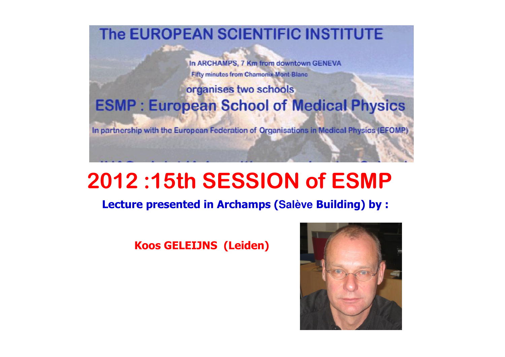The EUROPEAN SCIENTIFIC INSTITUTE

In ARCHAMPS, 7 Km from downtown GENEVA **Fifty minutes from Chamonix-Mont-Blanc** 

#### organises two schools **ESMP: European School of Medical Physics**

In partnership with the European Federation of Organisations in Medical Physics (EFOMP)

### <sup>2012</sup> :15th SESSION of ESMP

### Lecture presented in Archamps (**Salève** Building) by :

#### Koos GELEIJNS (Leiden)

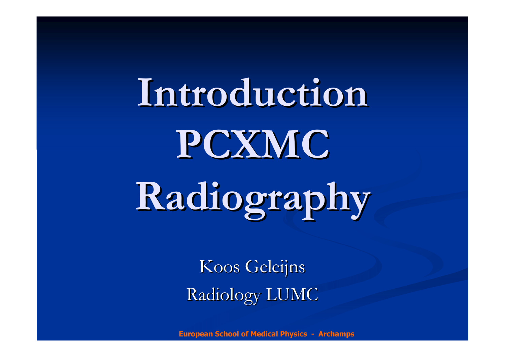IntroductionPCXMCRadiography

> Koos GeleijnsRadiology LUMC

European School of Medical Physics - Archamps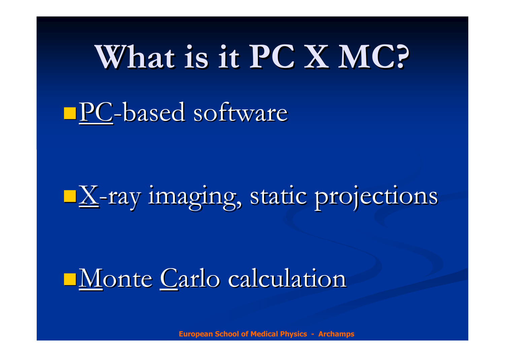# What is it PC X MC?

# **PC-based software**

# X-ray imaging, static projections

## Monte Carlo calculation

European School of Medical Physics - Archamps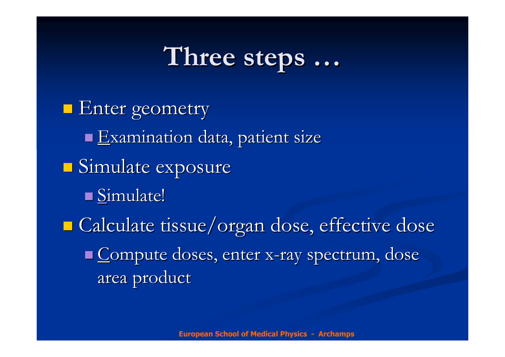#### Three steps . . .

**Enter geometry**  $\blacksquare$  Examination data, patient size Simulate exposure Simulate! $\mathbb{R}^2$ ■ Calculate tissue/organ dose, effective dose  $\blacksquare$  Compute doses, enter : x-ray spectrum, dose area product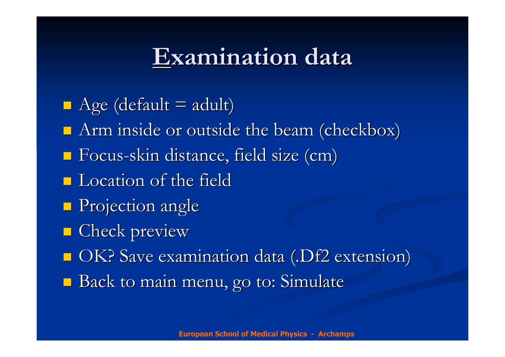# Examination data

 $\blacksquare$  Age (default = adult) **Arm** inside or outside the beam (checkbox) Focus -skin distance, field size (cm) **L** Location of the field **Projection angle E** Check preview ■ OK? Save examination data (.Df2 extension) **Back to main menu, go to: Simulate**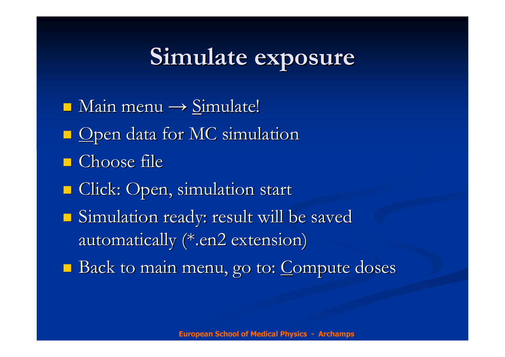#### Simulateexposure

 $\blacksquare$  Main menu  $\rightarrow$  Simulate!  $\blacksquare$  Open data for MC simulation ■ Choose file **E** Click: Open, simulation start Simulation ready: result will be saved automatically (\*.en2 extension) **Back to main menu, go to: Compute doses**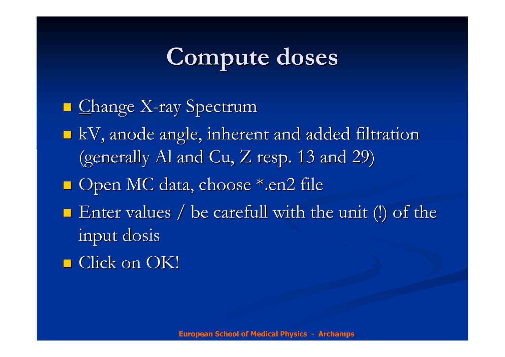# Compute doses

# $\blacksquare$  Change X-ray Spectrum kV, anode angle, inherent and added filtration(generally Al and Cu, Z resp. 13 and 29) ■ Open MC data, choose \*.en2 file  $\blacksquare$  Enter values / be carefull with the unit (!) of the input dosis

■ Click on OK!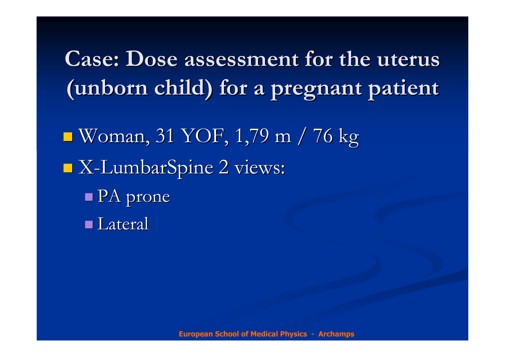Case: Dose assessment for the uterus (unborn child) for a pregnant patient

 $\mathcal{L}_{\mathcal{A}}$  Woman, 31 YOF, 1,79 m / 76 kg X-LumbarSpine 2 views: PA prone **Lateral**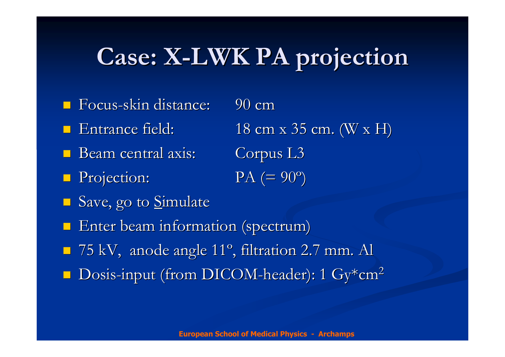## Case: X-LWK PA projection

- Focus-skin distance: 90 cm
- **E** Entrance field:
- Beam central axis: Corpus L3
- **Projection:** PA (=  $90$
- Save, go to <u>S</u>imulate
- **Enter beam information (spectrum)**
- 75 kV, anode angle <sup>11</sup> º, filtration 2.7 mm. Al
- **Dosis-input (from DICOM-header): 1 Gy\*cm<sup>2</sup>**

Entrance field:  $18 \text{ cm} \times 35 \text{ cm}$ . (W x H)

 $PA (= 90^{\circ})$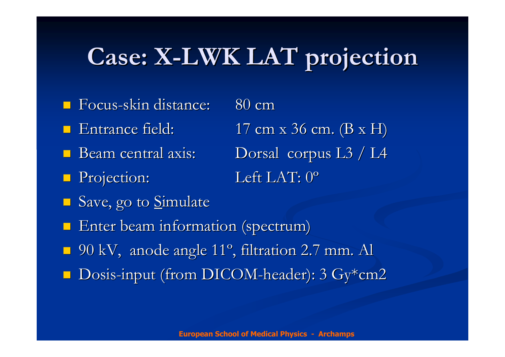## Case: X-LWK LAT projection

- Focus-skin distance: 80 cm
- **E** Entrance field:
- Beam
- **Projection:** Left LAT: 0
- Save, go to <u>S</u>imulate

**Enter beam information (spectrum)** 

- 90 kV, anode angle <sup>11</sup> º, filtration 2.7 mm. Al
- Dosis-input (from DICOM-header): 3 Gy\*cm2

Entrance field:  $17 \text{ cm} \times 36 \text{ cm}$ .  $(B \times H)$ Dorsal corpus L3 / L4 Left LAT: 0°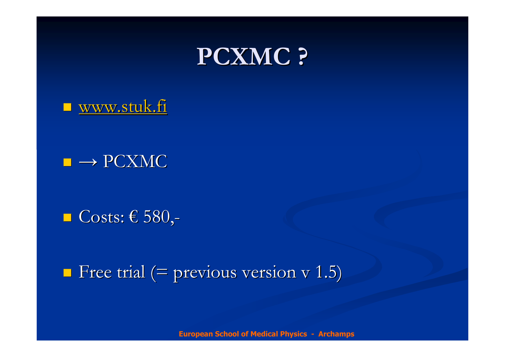

**u** www.stuk.fi

 $\blacksquare \rightarrow$  PCXMC

■ Costs:  $€ 580,$ 

 $\blacksquare$  Free trial (= previous version v 1.5)

European School of Medical Physics - Archamps